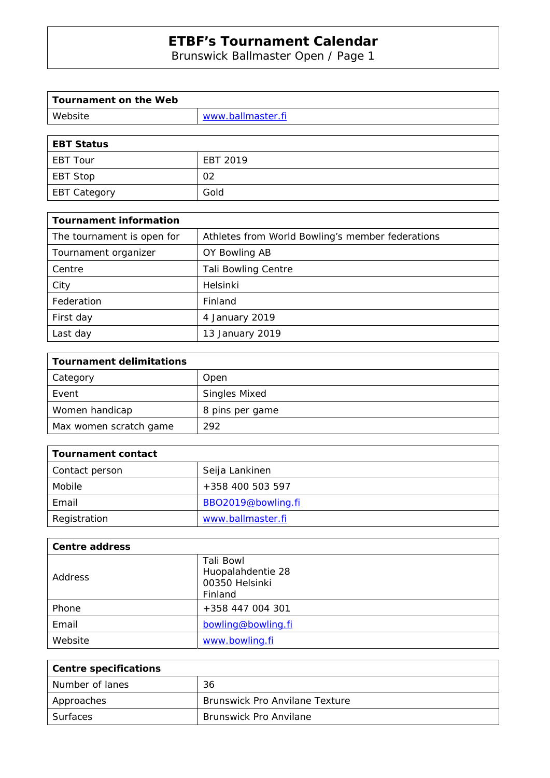Brunswick Ballmaster Open / Page 1

| Tournament on the Web        |  |
|------------------------------|--|
| www.ballmaster.fi<br>Website |  |
|                              |  |

| EBT Status   |          |
|--------------|----------|
| EBT Tour     | EBT 2019 |
| EBT Stop     | 02       |
| EBT Category | Gold     |

| <b>Tournament information</b> |                                                  |
|-------------------------------|--------------------------------------------------|
| The tournament is open for    | Athletes from World Bowling's member federations |
| Tournament organizer          | OY Bowling AB                                    |
| Centre                        | <b>Tali Bowling Centre</b>                       |
| City                          | Helsinki                                         |
| Federation                    | Finland                                          |
| First day                     | 4 January 2019                                   |
| Last day                      | 13 January 2019                                  |

| <b>Tournament delimitations</b> |                      |
|---------------------------------|----------------------|
| Category                        | Open                 |
| Event                           | <b>Singles Mixed</b> |
| Women handicap                  | 8 pins per game      |
| Max women scratch game          | 292                  |

| Tournament contact |                    |
|--------------------|--------------------|
| Contact person     | Seija Lankinen     |
| Mobile             | +358 400 503 597   |
| Email              | BBO2019@bowling.fi |
| Registration       | www.ballmaster.fi  |

| <b>Centre address</b> |                                                             |
|-----------------------|-------------------------------------------------------------|
| Address               | Tali Bowl<br>Huopalahdentie 28<br>00350 Helsinki<br>Finland |
| Phone                 | +358 447 004 301                                            |
| Email                 | bowling@bowling.fi                                          |
| Website               | www.bowling.fi                                              |

| Centre specifications |                                       |
|-----------------------|---------------------------------------|
| Number of lanes       | 36                                    |
| Approaches            | <b>Brunswick Pro Anvilane Texture</b> |
| Surfaces              | <b>Brunswick Pro Anvilane</b>         |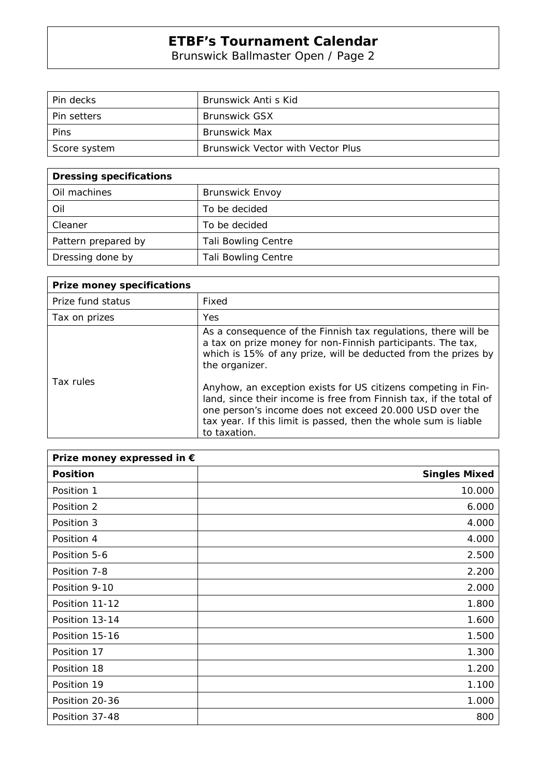Brunswick Ballmaster Open / Page 2

| Pin decks          | Brunswick Anti s Kid                     |
|--------------------|------------------------------------------|
| <b>Pin setters</b> | <b>Brunswick GSX</b>                     |
| Pins               | <b>Brunswick Max</b>                     |
| Score system       | <b>Brunswick Vector with Vector Plus</b> |

| <b>Dressing specifications</b> |                            |
|--------------------------------|----------------------------|
| Oil machines                   | <b>Brunswick Envoy</b>     |
| Oil                            | To be decided              |
| Cleaner                        | To be decided              |
| Pattern prepared by            | <b>Tali Bowling Centre</b> |
| Dressing done by               | <b>Tali Bowling Centre</b> |

| <b>Prize money specifications</b> |                                                                                                                                                                                                                                                                                   |
|-----------------------------------|-----------------------------------------------------------------------------------------------------------------------------------------------------------------------------------------------------------------------------------------------------------------------------------|
| Prize fund status                 | Fixed                                                                                                                                                                                                                                                                             |
| Tax on prizes                     | <b>Yes</b>                                                                                                                                                                                                                                                                        |
|                                   | As a consequence of the Finnish tax regulations, there will be<br>a tax on prize money for non-Finnish participants. The tax,<br>which is 15% of any prize, will be deducted from the prizes by<br>the organizer.                                                                 |
| Tax rules                         | Anyhow, an exception exists for US citizens competing in Fin-<br>land, since their income is free from Finnish tax, if the total of<br>one person's income does not exceed 20.000 USD over the<br>tax year. If this limit is passed, then the whole sum is liable<br>to taxation. |

| Prize money expressed in € |                      |
|----------------------------|----------------------|
| <b>Position</b>            | <b>Singles Mixed</b> |
| Position 1                 | 10.000               |
| Position 2                 | 6.000                |
| Position 3                 | 4.000                |
| Position 4                 | 4.000                |
| Position 5-6               | 2.500                |
| Position 7-8               | 2.200                |
| Position 9-10              | 2.000                |
| Position 11-12             | 1.800                |
| Position 13-14             | 1.600                |
| Position 15-16             | 1.500                |
| Position 17                | 1.300                |
| Position 18                | 1.200                |
| Position 19                | 1.100                |
| Position 20-36             | 1.000                |
| Position 37-48             | 800                  |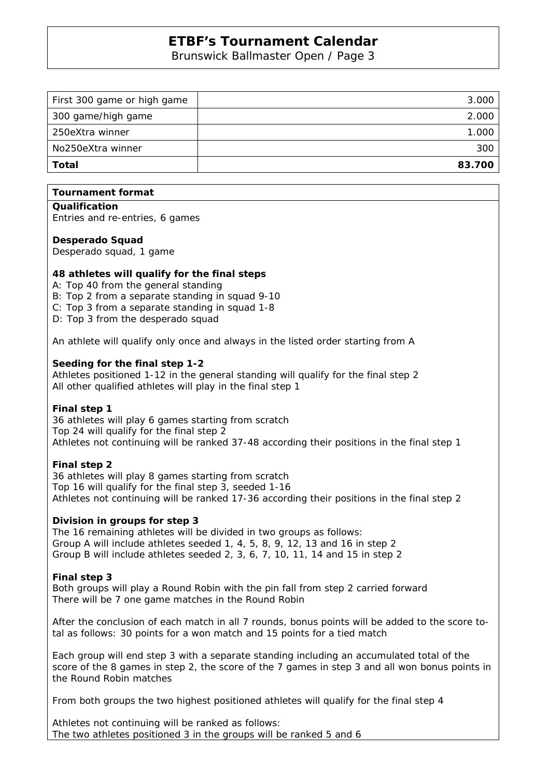Brunswick Ballmaster Open / Page 3

| First 300 game or high game | 3.000  |
|-----------------------------|--------|
| 300 game/high game          | 2.000  |
| 250eXtra winner             | 1.000  |
| No250eXtra winner           | 300    |
| Total                       | 83.700 |
|                             |        |

## **Tournament format**

**Qualification** 

Entries and re-entries, 6 games

#### **Desperado Squad**

Desperado squad, 1 game

## **48 athletes will qualify for the final steps**

A: Top 40 from the general standing

- B: Top 2 from a separate standing in squad 9-10
- C: Top 3 from a separate standing in squad 1-8
- D: Top 3 from the desperado squad

An athlete will qualify only once and always in the listed order starting from A

## **Seeding for the final step 1-2**

Athletes positioned 1-12 in the general standing will qualify for the final step 2 All other qualified athletes will play in the final step 1

#### **Final step 1**

36 athletes will play 6 games starting from scratch Top 24 will qualify for the final step 2 Athletes not continuing will be ranked 37-48 according their positions in the final step 1

## **Final step 2**

36 athletes will play 8 games starting from scratch Top 16 will qualify for the final step 3, seeded 1-16 Athletes not continuing will be ranked 17-36 according their positions in the final step 2

#### **Division in groups for step 3**

The 16 remaining athletes will be divided in two groups as follows: Group A will include athletes seeded 1, 4, 5, 8, 9, 12, 13 and 16 in step 2 Group B will include athletes seeded 2, 3, 6, 7, 10, 11, 14 and 15 in step 2

## **Final step 3**

Both groups will play a Round Robin with the pin fall from step 2 carried forward There will be 7 one game matches in the Round Robin

After the conclusion of each match in all 7 rounds, bonus points will be added to the score total as follows: 30 points for a won match and 15 points for a tied match

Each group will end step 3 with a separate standing including an accumulated total of the score of the 8 games in step 2, the score of the 7 games in step 3 and all won bonus points in the Round Robin matches

From both groups the two highest positioned athletes will qualify for the final step 4

Athletes not continuing will be ranked as follows: The two athletes positioned 3 in the groups will be ranked 5 and 6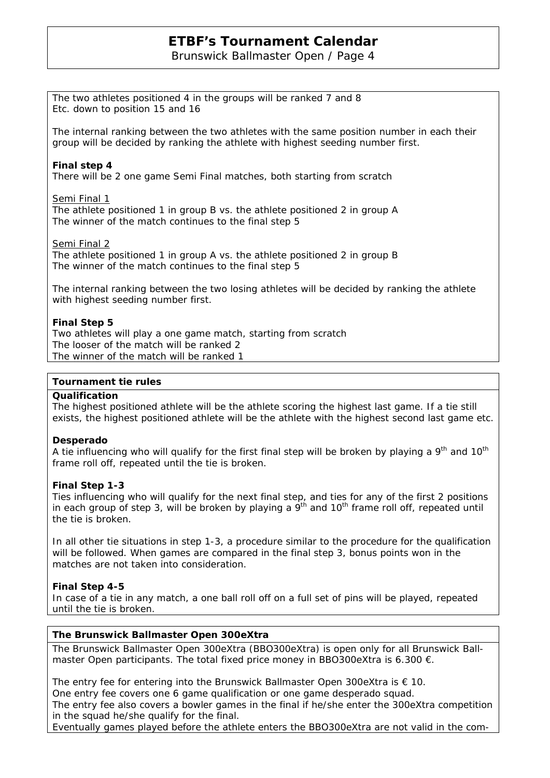Brunswick Ballmaster Open / Page 4

The two athletes positioned 4 in the groups will be ranked 7 and 8 Etc. down to position 15 and 16

The internal ranking between the two athletes with the same position number in each their group will be decided by ranking the athlete with highest seeding number first.

## **Final step 4**

There will be 2 one game Semi Final matches, both starting from scratch

Semi Final 1

The athlete positioned 1 in group B vs. the athlete positioned 2 in group A The winner of the match continues to the final step 5

#### Semi Final 2

The athlete positioned 1 in group A vs. the athlete positioned 2 in group B The winner of the match continues to the final step 5

The internal ranking between the two losing athletes will be decided by ranking the athlete with highest seeding number first.

## **Final Step 5**

Two athletes will play a one game match, starting from scratch The looser of the match will be ranked 2 The winner of the match will be ranked 1

## **Tournament tie rules**

#### **Qualification**

The highest positioned athlete will be the athlete scoring the highest last game. If a tie still exists, the highest positioned athlete will be the athlete with the highest second last game etc.

#### **Desperado**

A tie influencing who will qualify for the first final step will be broken by playing a  $9<sup>th</sup>$  and 10<sup>th</sup> frame roll off, repeated until the tie is broken.

#### **Final Step 1-3**

Ties influencing who will qualify for the next final step, and ties for any of the first 2 positions in each group of step 3, will be broken by playing a  $9<sup>th</sup>$  and  $10<sup>th</sup>$  frame roll off, repeated until the tie is broken.

In all other tie situations in step 1-3, a procedure similar to the procedure for the qualification will be followed. When games are compared in the final step 3, bonus points won in the matches are not taken into consideration.

#### **Final Step 4-5**

In case of a tie in any match, a one ball roll off on a full set of pins will be played, repeated until the tie is broken.

#### **The Brunswick Ballmaster Open 300eXtra**

The Brunswick Ballmaster Open 300eXtra (BBO300eXtra) is open only for all Brunswick Ballmaster Open participants. The total fixed price money in BBO300eXtra is 6.300  $\epsilon$ .

The entry fee for entering into the Brunswick Ballmaster Open 300eXtra is  $\epsilon$  10. One entry fee covers one 6 game qualification or one game desperado squad. The entry fee also covers a bowler games in the final if he/she enter the 300eXtra competition in the squad he/she qualify for the final.

Eventually games played before the athlete enters the BBO300eXtra are not valid in the com-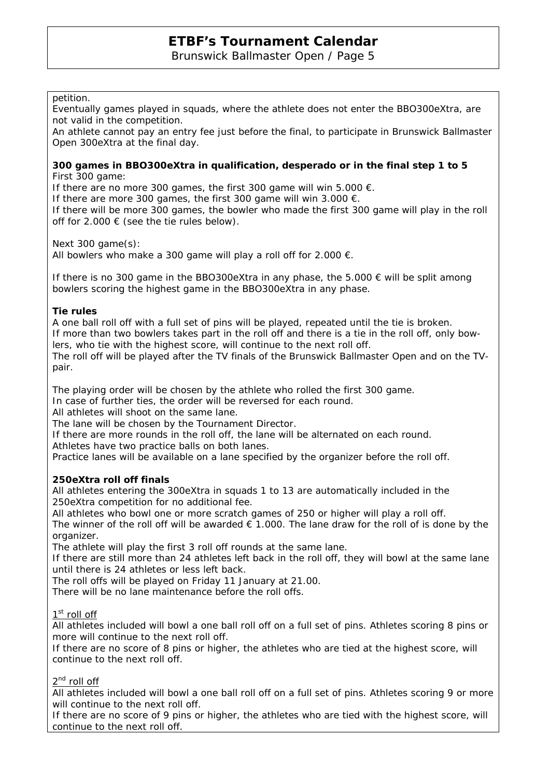Brunswick Ballmaster Open / Page 5

## petition.

Eventually games played in squads, where the athlete does not enter the BBO300eXtra, are not valid in the competition.

An athlete cannot pay an entry fee just before the final, to participate in Brunswick Ballmaster Open 300eXtra at the final day.

#### **300 games in BBO300eXtra in qualification, desperado or in the final step 1 to 5**  First 300 game:

If there are no more 300 games, the first 300 game will win 5.000  $\epsilon$ .

If there are more 300 games, the first 300 game will win 3.000  $\epsilon$ .

If there will be more 300 games, the bowler who made the first 300 game will play in the roll off for  $2.000 \in$  (see the tie rules below).

Next 300 game(s):

All bowlers who make a 300 game will play a roll off for 2.000  $\epsilon$ .

If there is no 300 game in the BBO300eXtra in any phase, the  $5.000 \in \text{will}$  be split among bowlers scoring the highest game in the BBO300eXtra in any phase.

## **Tie rules**

A one ball roll off with a full set of pins will be played, repeated until the tie is broken. If more than two bowlers takes part in the roll off and there is a tie in the roll off, only bowlers, who tie with the highest score, will continue to the next roll off.

The roll off will be played after the TV finals of the Brunswick Ballmaster Open and on the TVpair.

The playing order will be chosen by the athlete who rolled the first 300 game.

In case of further ties, the order will be reversed for each round.

All athletes will shoot on the same lane.

The lane will be chosen by the Tournament Director.

If there are more rounds in the roll off, the lane will be alternated on each round.

Athletes have two practice balls on both lanes.

Practice lanes will be available on a lane specified by the organizer before the roll off.

## **250eXtra roll off finals**

All athletes entering the 300eXtra in squads 1 to 13 are automatically included in the 250eXtra competition for no additional fee.

All athletes who bowl one or more scratch games of 250 or higher will play a roll off. The winner of the roll off will be awarded  $\epsilon$  1.000. The lane draw for the roll of is done by the organizer.

The athlete will play the first 3 roll off rounds at the same lane.

If there are still more than 24 athletes left back in the roll off, they will bowl at the same lane until there is 24 athletes or less left back.

The roll offs will be played on Friday 11 January at 21.00.

There will be no lane maintenance before the roll offs.

## 1<sup>st</sup> roll off

All athletes included will bowl a one ball roll off on a full set of pins. Athletes scoring 8 pins or more will continue to the next roll off.

If there are no score of 8 pins or higher, the athletes who are tied at the highest score, will continue to the next roll off.

## 2<sup>nd</sup> roll off

All athletes included will bowl a one ball roll off on a full set of pins. Athletes scoring 9 or more will continue to the next roll off.

If there are no score of 9 pins or higher, the athletes who are tied with the highest score, will continue to the next roll off.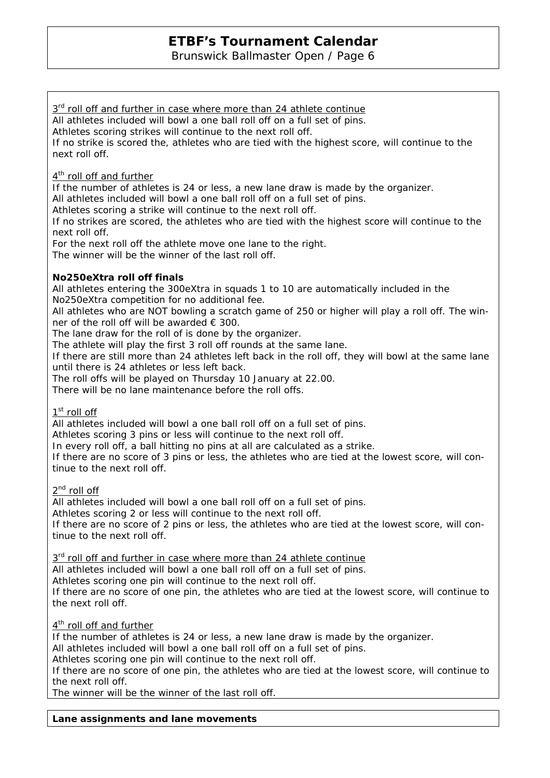Brunswick Ballmaster Open / Page 6

## $3<sup>rd</sup>$  roll off and further in case where more than 24 athlete continue

All athletes included will bowl a one ball roll off on a full set of pins.

Athletes scoring strikes will continue to the next roll off.

If no strike is scored the, athletes who are tied with the highest score, will continue to the next roll off.

## 4<sup>th</sup> roll off and further

If the number of athletes is 24 or less, a new lane draw is made by the organizer.

All athletes included will bowl a one ball roll off on a full set of pins.

Athletes scoring a strike will continue to the next roll off.

If no strikes are scored, the athletes who are tied with the highest score will continue to the next roll off.

For the next roll off the athlete move one lane to the right.

The winner will be the winner of the last roll off.

## **No250eXtra roll off finals**

All athletes entering the 300eXtra in squads 1 to 10 are automatically included in the No250eXtra competition for no additional fee.

All athletes who are NOT bowling a scratch game of 250 or higher will play a roll off. The winner of the roll off will be awarded  $\epsilon$  300.

The lane draw for the roll of is done by the organizer.

The athlete will play the first 3 roll off rounds at the same lane.

If there are still more than 24 athletes left back in the roll off, they will bowl at the same lane until there is 24 athletes or less left back.

The roll offs will be played on Thursday 10 January at 22.00.

There will be no lane maintenance before the roll offs.

## 1<sup>st</sup> roll off

All athletes included will bowl a one ball roll off on a full set of pins.

Athletes scoring 3 pins or less will continue to the next roll off.

In every roll off, a ball hitting no pins at all are calculated as a strike.

If there are no score of 3 pins or less, the athletes who are tied at the lowest score, will continue to the next roll off.

2<sup>nd</sup> roll off

All athletes included will bowl a one ball roll off on a full set of pins. Athletes scoring 2 or less will continue to the next roll off. If there are no score of 2 pins or less, the athletes who are tied at the lowest score, will continue to the next roll off.

 $3<sup>rd</sup>$  roll off and further in case where more than 24 athlete continue All athletes included will bowl a one ball roll off on a full set of pins. Athletes scoring one pin will continue to the next roll off. If there are no score of one pin, the athletes who are tied at the lowest score, will continue to the next roll off.

4<sup>th</sup> roll off and further

If the number of athletes is 24 or less, a new lane draw is made by the organizer.

All athletes included will bowl a one ball roll off on a full set of pins.

Athletes scoring one pin will continue to the next roll off.

If there are no score of one pin, the athletes who are tied at the lowest score, will continue to the next roll off.

The winner will be the winner of the last roll off.

**Lane assignments and lane movements**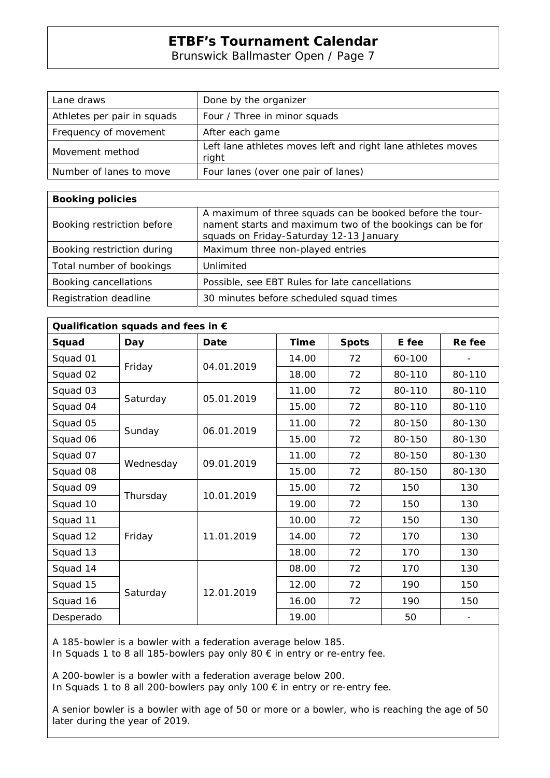Brunswick Ballmaster Open / Page 7

| Lane draws                  | Done by the organizer                                                |
|-----------------------------|----------------------------------------------------------------------|
| Athletes per pair in squads | Four / Three in minor squads                                         |
| Frequency of movement       | After each game                                                      |
| Movement method             | Left lane athletes moves left and right lane athletes moves<br>right |
| Number of lanes to move     | Four lanes (over one pair of lanes)                                  |

| <b>Booking policies</b>    |                                                                                                                                                                 |
|----------------------------|-----------------------------------------------------------------------------------------------------------------------------------------------------------------|
| Booking restriction before | A maximum of three squads can be booked before the tour-<br>nament starts and maximum two of the bookings can be for<br>squads on Friday-Saturday 12-13 January |
| Booking restriction during | Maximum three non-played entries                                                                                                                                |
| Total number of bookings   | Unlimited                                                                                                                                                       |
| Booking cancellations      | Possible, see EBT Rules for late cancellations                                                                                                                  |
| Registration deadline      | 30 minutes before scheduled squad times                                                                                                                         |

| Qualification squads and fees in $\epsilon$ |           |            |             |              |        |                          |  |
|---------------------------------------------|-----------|------------|-------------|--------------|--------|--------------------------|--|
| Squad                                       | Day       | Date       | <b>Time</b> | <b>Spots</b> | E fee  | Re fee                   |  |
| Squad 01                                    | Friday    | 04.01.2019 | 14.00       | 72           | 60-100 |                          |  |
| Squad 02                                    |           |            | 18.00       | 72           | 80-110 | 80-110                   |  |
| Squad 03                                    | Saturday  | 05.01.2019 | 11.00       | 72           | 80-110 | 80-110                   |  |
| Squad 04                                    |           |            | 15.00       | 72           | 80-110 | 80-110                   |  |
| Squad 05                                    | Sunday    | 06.01.2019 | 11.00       | 72           | 80-150 | 80-130                   |  |
| Squad 06                                    |           |            | 15.00       | 72           | 80-150 | 80-130                   |  |
| Squad 07                                    | Wednesday | 09.01.2019 | 11.00       | 72           | 80-150 | 80-130                   |  |
| Squad 08                                    |           |            | 15.00       | 72           | 80-150 | 80-130                   |  |
| Squad 09                                    | Thursday  | 10.01.2019 | 15.00       | 72           | 150    | 130                      |  |
| Squad 10                                    |           |            | 19.00       | 72           | 150    | 130                      |  |
| Squad 11                                    | Friday    | 11.01.2019 | 10.00       | 72           | 150    | 130                      |  |
| Squad 12                                    |           |            | 14.00       | 72           | 170    | 130                      |  |
| Squad 13                                    |           |            | 18.00       | 72           | 170    | 130                      |  |
| Squad 14                                    | Saturday  | 12.01.2019 | 08.00       | 72           | 170    | 130                      |  |
| Squad 15                                    |           |            | 12.00       | 72           | 190    | 150                      |  |
| Squad 16                                    |           |            | 16.00       | 72           | 190    | 150                      |  |
| Desperado                                   |           |            | 19.00       |              | 50     | $\overline{\phantom{a}}$ |  |

A 185-bowler is a bowler with a federation average below 185.

In Squads 1 to 8 all 185-bowlers pay only 80 € in entry or re-entry fee.

A 200-bowler is a bowler with a federation average below 200. In Squads 1 to 8 all 200-bowlers pay only 100 € in entry or re-entry fee.

A senior bowler is a bowler with age of 50 or more or a bowler, who is reaching the age of 50 later during the year of 2019.